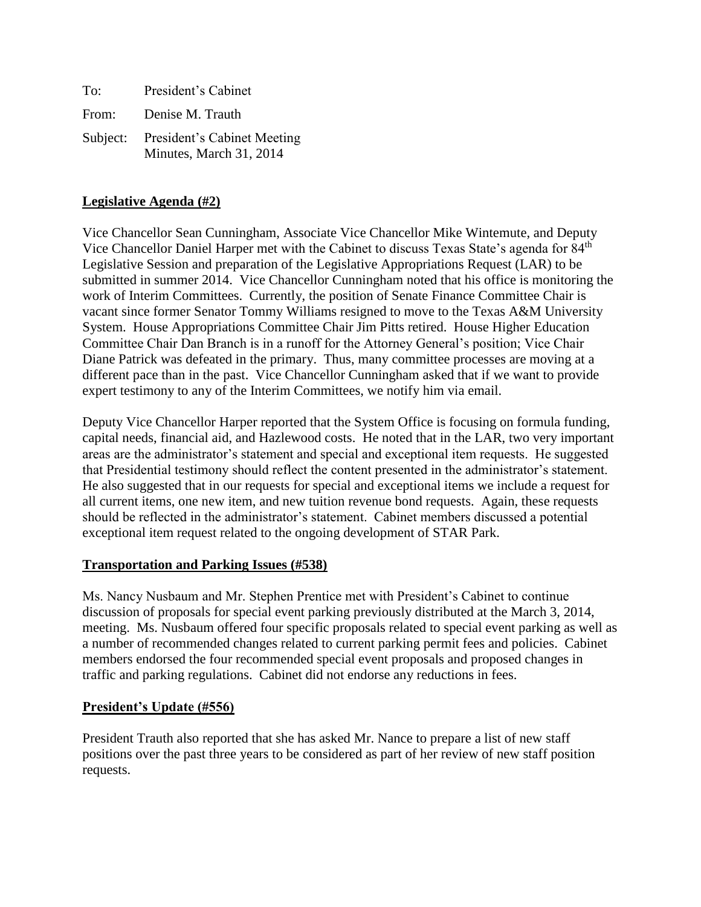| To:   | President's Cabinet                                             |
|-------|-----------------------------------------------------------------|
| From: | Denise M. Trauth                                                |
|       | Subject: President's Cabinet Meeting<br>Minutes, March 31, 2014 |

## **Legislative Agenda (#2)**

Vice Chancellor Sean Cunningham, Associate Vice Chancellor Mike Wintemute, and Deputy Vice Chancellor Daniel Harper met with the Cabinet to discuss Texas State's agenda for 84<sup>th</sup> Legislative Session and preparation of the Legislative Appropriations Request (LAR) to be submitted in summer 2014. Vice Chancellor Cunningham noted that his office is monitoring the work of Interim Committees. Currently, the position of Senate Finance Committee Chair is vacant since former Senator Tommy Williams resigned to move to the Texas A&M University System. House Appropriations Committee Chair Jim Pitts retired. House Higher Education Committee Chair Dan Branch is in a runoff for the Attorney General's position; Vice Chair Diane Patrick was defeated in the primary. Thus, many committee processes are moving at a different pace than in the past. Vice Chancellor Cunningham asked that if we want to provide expert testimony to any of the Interim Committees, we notify him via email.

Deputy Vice Chancellor Harper reported that the System Office is focusing on formula funding, capital needs, financial aid, and Hazlewood costs. He noted that in the LAR, two very important areas are the administrator's statement and special and exceptional item requests. He suggested that Presidential testimony should reflect the content presented in the administrator's statement. He also suggested that in our requests for special and exceptional items we include a request for all current items, one new item, and new tuition revenue bond requests. Again, these requests should be reflected in the administrator's statement. Cabinet members discussed a potential exceptional item request related to the ongoing development of STAR Park.

#### **Transportation and Parking Issues (#538)**

Ms. Nancy Nusbaum and Mr. Stephen Prentice met with President's Cabinet to continue discussion of proposals for special event parking previously distributed at the March 3, 2014, meeting. Ms. Nusbaum offered four specific proposals related to special event parking as well as a number of recommended changes related to current parking permit fees and policies. Cabinet members endorsed the four recommended special event proposals and proposed changes in traffic and parking regulations. Cabinet did not endorse any reductions in fees.

#### **President's Update (#556)**

President Trauth also reported that she has asked Mr. Nance to prepare a list of new staff positions over the past three years to be considered as part of her review of new staff position requests.